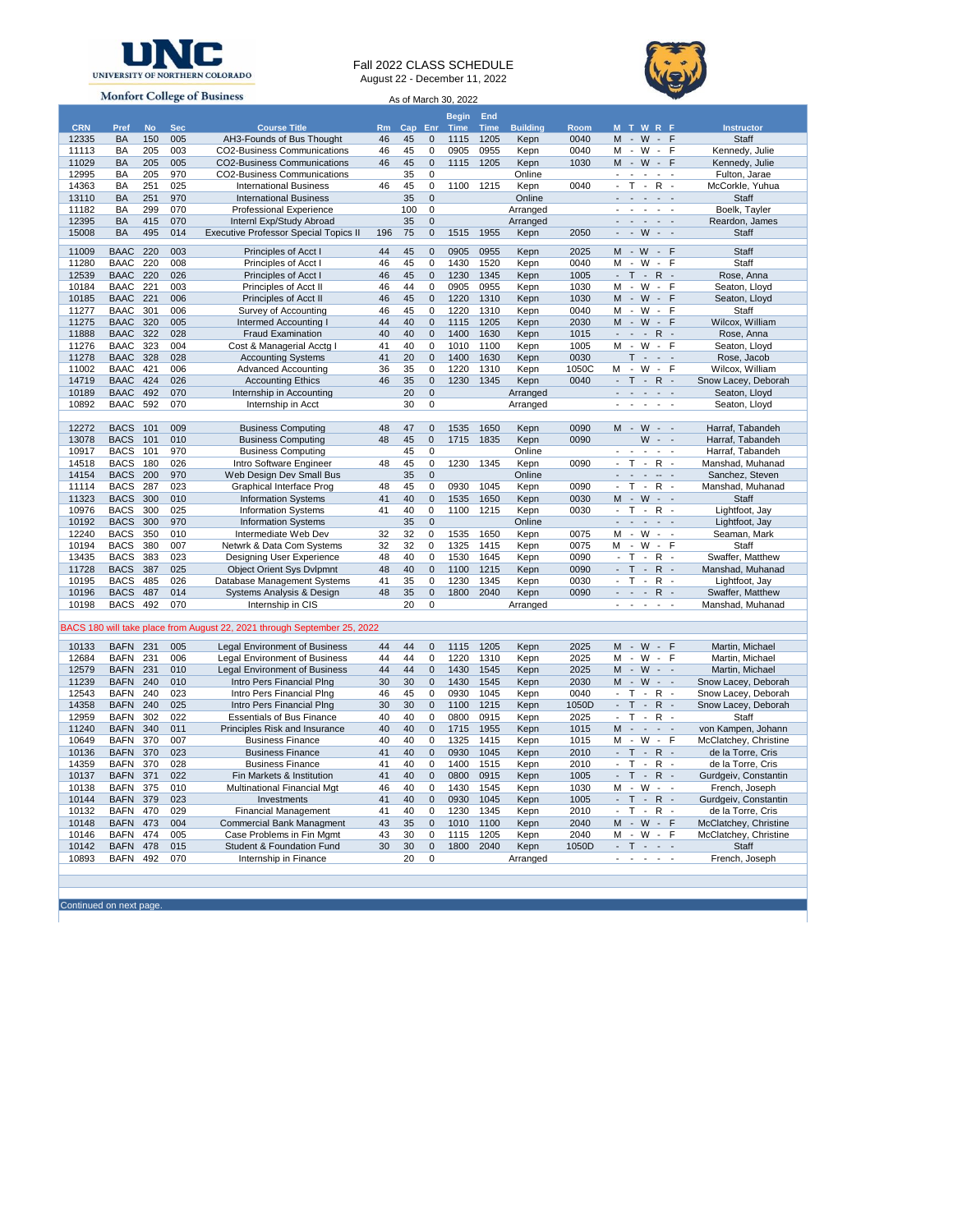

## Fall 2022 CLASS SCHEDULE August 22 - December 11, 2022



**Monfort College of Business** As of March 30, 2022**Begin Time End CRN Pref No Sec Course Title Rm Cap Enr Time Building Room M T W R F Instructor** 12335 BA 150 005 AH3-Founds of Bus Thought 46 45 0 1115 1205 Kepn 0040 M - W - F Staff CO2-Business Communications 11029 BA 205 005 CO2-Business Communications 46 45 0 1115 1205 Kepn 1030 M - W - F Kennedy, Julie 12995 BA 205 970 CO2-Business Communications 35 0 0 Online - - - - - - Fulton, Jarae<br>14363 BA 251 025 International Business 46 45 0 1100 1215 Kepn 0040 - T - R - McCorkle, Yuhua 14363 BA 251 025 International Business 46 45 0 1100 1215 Kepn 0040 - T - R - McCorkle, Yuhuan 13110 BA 251 970 International Business 35 0 Online International Business 35 0 Online - - - - -11182 BA 299 070 Professional Experience 100 0 Arranged - - - - Boelk, Tayler<br>12395 BA 415 070 Interni Exp/Study Abroad 35 0 Arranged - - - - - Reardon, James 12395 BA 415 070 Internl Exp/Study Abroad 35 0 Arranged - - - - - Reardon, James 15008 BA 495 014 Executive Professor Special Topics II 196 75 0 1515 1955 Kepn 2050 11009 BAAC 220 003 Principles of Acct I 44 45 0 0905 0955 Kepn 2025 M - W - F Staff 11280 BAAC 220 008 Principles of Acct I 46 45 0 1430 1520 Kepn 0040 M - W - F Staff 12539 BAAC 220 026 Principles of Acct 1 46 45 0 1230 1345 Kepn 1005 - T - R - Rose, Anna<br>10184 BAAC 221 003 Principles of Acct II 46 44 0 0905 0955 Kepn 1030 M - W - F Seaton, Lloy 10184 BAAC 221 003 Principles of Acct II 46 44 0 0905 0955 Kepn 1030 M - W - F Seaton, Lloyd 006 Principles of Acct II 46 45 0 1220 1310 Kepn 11277 BAAC 301 006 Survey of Accounting 46 45 0 1220 1310 Kepn 0040 M - W - F Staff 11275 BAAC 320 005 Intermed Accounting | 44 40 0 1115 1205 Kepn 2030 M - W - F 11888 BAAC 322 028 Fraud Examination 40 40 0 1400 1630 Kepn 1015 - - - R - Rose, Anna 11276 BAAC 323 004 Cost & Managerial Acctg | 41 40 0 1010 1100 Kepn 1005 M - W - F Seaton, Lloyd<br>11278 BAAC 328 028 Accounting Systems 41 20 0 1400 1630 Kepn 0030 T - - Rose, Jacob 11278 BAAC 328 028 Accounting Systems 14 20 0 1400 1630 Kepn 0030 T - - Rose, Jacob<br>11278 BAAC 421 006 Advanced Accounting 36 35 0 1220 1310 Kepn 1050C M - W - F Wilcox, William 11002 BAAC 421 006 Advanced Accounting 36 35 0 1220 1310 Kepn 1050C M - W - F<br>14719 BAAC 424 026 Accounting Ethics 46 35 0 1230 1345 Kepn 0040 - T - R -14719 BAAC 424 026 Accounting Ethics 46 35 0 1230 1345 Kepn 0040 - T - R - Snow Lacey, Deborah 10189 BAAC 492 070 Internship in Accounting 20 0 Arranged - - - - - Seaton, Lloyd 10892 BAAC 592 070 Internship in Acct 30 0 Arranged - - - - - - Seaton, Lloyd 12272 BACS 101 009 Business Computing 148 47 0 1535 1650 Kepn 0090 M - W - - Harraf, Tabandeh<br>13078 BACS 101 010 Business Computing 148 45 0 1715 1835 Kepn 0090 W - - Harraf, Tabandeh 13078 BACS 101 010 Business Computing 18 48 45 0 1715 1835 Kepn 0090 W - - Harraf, Tabandeh<br>10917 BACS 101 970 Business Computing 19 45 0 Online - - - - - - Harraf, Tabandeh 10917 BACS 101 970 Business Computing 1998 45 0 1230 Aline 1998 - - - - - Harraf, Tabandeh<br>14518 BACS 180 026 Intro Software Engineer 148 45 0 1230 1345 Kepn 0090 - T - R - Manshad, Muhanad 180 026 Intro Software Engineer 48 45 0 1230 1345 Kepn 0090 - T - R -14154 BACS 200 970 Web Design Dev Small Bus 35 0 Online - - - - - - - Sanchez, Steven 11114 BACS 287 023 Graphical Interface Prog 48 45 0 0930 1045 Kepn 0090 - T - R - Manshad, Muhanad 11323 BACS 300 010 Information Systems 41 40 0 1535 1650 Kepn 0030 M - W - - Staff 10976 BACS 300 025 Information Systems 41 40 0 1100 1215 Kepn 0030 - T - R - Lightfoot, Jay 10192 BACS 300 970 Information Systems 35 0 Online - - - - - Lightfoot, Jay 12240 BACS 350 010 Intermediate Web Dev 32 32 0 1535 1650 Kepn 0075 M - W - - Seaman, Mark Netwrk & Data Com Systems 32 32 0 1325 1415 Kepn 0075 M - W - F Staff<br>Designing User Experience 48 40 0 1530 1645 Kepn 0090 - T - R - Swaffer, Matthew 13435 BACS 383 023 Designing User Experience 48 40 0 1530 1645 Kepn 0090 - T - R 11728 BACS 387 025 Object Orient Sys Dvlpmnt 48 40 0 1100 1215 Kepn 0090 - T - R - Manshad, Muhanad<br>10195 BACS 485 026 Database Management Systems 41 35 0 1230 1345 Kepn 0030 - T - R - Lightfoot, Jay 10195 BACS 485 026 Database Management Systems 41 35 0 1230 1345 Kepn 0030 - T - R 10196 BACS 487 014 Systems Analysis & Design 48 35 0 1800 2040 Kepn 0090 - - - R - Swaffer, Matthew 10198 BACS 492 070 Internship in CIS 100 20 0 Arranged 10198 BACS 492 0 Amshad, Muhanad BACS 180 will take place from August 22, 2021 through September 25, 2022 10133 BAFN 231 005 Legal Environment of Business 44 44 0 1115 1205 Kepn 2025 M - W - F Martin, Michael<br>12684 BAFN 231 006 Legal Environment of Business 44 44 0 1220 1310 Kepn 2025 M - W - F Martin, Michael<br>12579 BAFN 231 0 12684 BAFN 231 006 Legal Environment of Business 44 44 0 1220 1310 Kepn 2025 M - W - F Martin, Michael 12579 BAFN 231 010 Legal Environment of Business 44 44 0 1430 1545 Kepn 2025 M - W<br>11239 BAFN 240 010 Intro Pers Financial Plng 30 30 0 1430 1545 Kepn 2030 M - W 11239 BAFN 240 010 Intro Pers Financial Plng 30 30 0 1430 1545 Kepn 2030 M - W - - Snow Lacey, Deborah<br>12543 BAFN 240 023 Intro Pers Financial Plng 30 30 0 1100 1215 Kepn 0040 - T - R - Snow Lacey, Deborah<br>14358 BAFN 240 0 Intro Pers Financial Plng 46 45 0 0930 1045 Kepn 14358 BAFN 240 025 Intro Pers Financial Plng 30 30 0 1100 1215 Kepn 1050D - T - R - Snow Lacey, Deborah<br>12959 BAFN 302 022 Essentials of Bus Finance 40 40 0 0800 0915 Kepn 2025 - T - R - Staff 12959 BAFN 302 022 Essentials of Bus Finance 40 40 0 0800 0915 Kepn 2025 - T - R - Staff 11240 BAFN 340 011 Principles Risk and Insurance 40 40 0 1715 1955 Kepn 1015 M - - - - von Kampen, Johann 10649 BAFN 370 007 Business Finance 40 40 0 1325 1415 Kepn 1015 M - W - F McClatchey, Christine 10136 BAFN 370 023 Business Finance 41 40 0 0930 1045 Kepn 2010 - T - R - de la Torre, Cris 14359 BAFN 370 028 Business Finance 41 40 0 1400 1515 Kepn 2010 - T - R - de la Torre, Cris 10137 BAFN 371 022 Fin Markets & Institution 141 40 0 0800 0915 Kepn 1005 - T -<br>10138 BAFN 375 010 Multinational Financial Mgt 146 40 0 1430 1545 Kepn 1030 M - W 1101 Multinational Financial Mgt 46 40 0 1430 1545 Kepn 1030 M - W - - French, Joseph 1023 M - W - - M - Gurdgeiv, Constant 41 40 0 0930 1045 Kepn 1005 - T - R - Gurdgeiv, Constant 10144 BAFN 379 023 Investments 41 40 0 0930 1045 Kepn 1005 - T - R - Gurdgeiv, Constantin 10132 BAFN 470 029 Financial Management 41 40 0 1230 1345 Kepn 2010 - T - R - de la Torre, Cris 10148 BAFN 473 004 Commercial Bank Managment 43 35 0 1010 1100 Kepn 2040 M - W - F McClatchey, Christine 10146 BAFN 474 005 Case Problems in Fin Mgmt 43 30 0 1115 1205 Kepn 2040 M - W - F McClatchey, Christine Student & Foundation Fund 10893 BAFN 492 070 Internship in Finance 20 0 Arranged - - - - - French, Joseph

Continued on next page